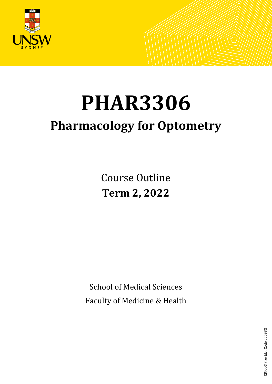

# **PHAR3306**

# **Pharmacology for Optometry**

Course Outline **Term 2, 2022**

School of Medical Sciences Faculty of Medicine & Health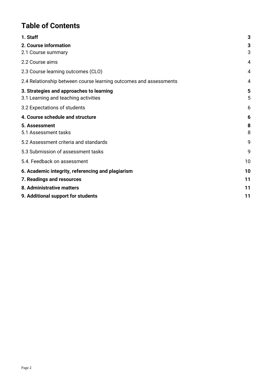# **Table of Contents**

| 1. Staff                                                          | 3  |
|-------------------------------------------------------------------|----|
| 2. Course information                                             | 3  |
| 2.1 Course summary                                                | 3  |
| 2.2 Course aims                                                   | 4  |
| 2.3 Course learning outcomes (CLO)                                | 4  |
| 2.4 Relationship between course learning outcomes and assessments | 4  |
| 3. Strategies and approaches to learning                          | 5  |
| 3.1 Learning and teaching activities                              | 5  |
| 3.2 Expectations of students                                      | 6  |
| 4. Course schedule and structure                                  | 6  |
| 5. Assessment                                                     | 8  |
| 5.1 Assessment tasks                                              | 8  |
| 5.2 Assessment criteria and standards                             | 9  |
| 5.3 Submission of assessment tasks                                | 9  |
| 5.4. Feedback on assessment                                       | 10 |
| 6. Academic integrity, referencing and plagiarism                 | 10 |
| 7. Readings and resources                                         | 11 |
| 8. Administrative matters                                         | 11 |
| 9. Additional support for students                                | 11 |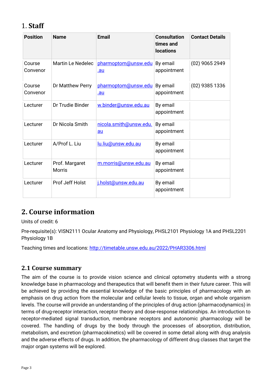# <span id="page-2-0"></span>1. **Staff**

| <b>Position</b>    | <b>Name</b>                     | <b>Email</b>                 | <b>Consultation</b><br>times and<br><b>locations</b> | <b>Contact Details</b> |
|--------------------|---------------------------------|------------------------------|------------------------------------------------------|------------------------|
| Course<br>Convenor | Martin Le Nedelec               | pharmoptom@unsw.edu<br>.au   | By email<br>appointment                              | (02) 9065 2949         |
| Course<br>Convenor | Dr Matthew Perry                | pharmoptom@unsw.edu<br>.au   | By email<br>appointment                              | (02) 9385 1336         |
| Lecturer           | Dr Trudie Binder                | w.binder@unsw.edu.au         | By email<br>appointment                              |                        |
| Lecturer           | Dr Nicola Smith                 | nicola.smith@unsw.edu.<br>au | By email<br>appointment                              |                        |
| Lecturer           | A/Prof L. Liu                   | lu.liu@unsw.edu.au           | By email<br>appointment                              |                        |
| Lecturer           | Prof. Margaret<br><b>Morris</b> | m.morris@unsw.edu.au         | By email<br>appointment                              |                        |
| Lecturer           | Prof Jeff Holst                 | j.holst@unsw.edu.au          | By email<br>appointment                              |                        |

# <span id="page-2-1"></span>**2. Course information**

Units of credit: 6

Pre-requisite(s): VISN2111 Ocular Anatomy and Physiology, PHSL2101 Physiology 1A and PHSL2201 Physiology 1B

Teaching times and locations:<http://timetable.unsw.edu.au/2022/PHAR3306.html>

## <span id="page-2-2"></span>**2.1 Course summary**

The aim of the course is to provide vision science and clinical optometry students with a strong knowledge base in pharmacology and therapeutics that will benefit them in their future career. This will be achieved by providing the essential knowledge of the basic principles of pharmacology with an emphasis on drug action from the molecular and cellular levels to tissue, organ and whole organism levels. The course will provide an understanding of the principles of drug action (pharmacodynamics) in terms of drug-receptor interaction, receptor theory and dose-response relationships. An introduction to receptor-mediated signal transduction, membrane receptors and autonomic pharmacology will be covered. The handling of drugs by the body through the processes of absorption, distribution, metabolism, and excretion (pharmacokinetics) will be covered in some detail along with drug analysis and the adverse effects of drugs. In addition, the pharmacology of different drug classes that target the major organ systems will be explored.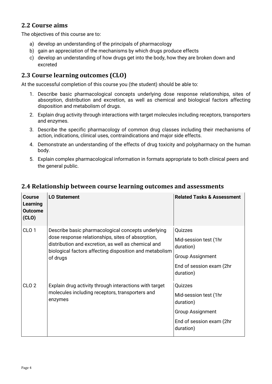# <span id="page-3-0"></span>**2.2 Course aims**

The objectives of this course are to:

- a) develop an understanding of the principals of pharmacology
- b) gain an appreciation of the mechanisms by which drugs produce effects
- c) develop an understanding of how drugs get into the body, how they are broken down and excreted

# <span id="page-3-1"></span>**2.3 Course learning outcomes (CLO)**

At the successful completion of this course you (the student) should be able to:

- 1. Describe basic pharmacological concepts underlying dose response relationships, sites of absorption, distribution and excretion, as well as chemical and biological factors affecting disposition and metabolism of drugs.
- 2. Explain drug activity through interactions with target molecules including receptors, transporters and enzymes.
- 3. Describe the specific pharmacology of common drug classes including their mechanisms of action, indications, clinical uses, contraindications and major side effects.
- 4. Demonstrate an understanding of the effects of drug toxicity and polypharmacy on the human body.
- 5. Explain complex pharmacological information in formats appropriate to both clinical peers and the general public.

| <b>Course</b><br>Learning<br><b>Outcome</b><br>(CLO) | <b>LO Statement</b>                                                                                                                                                                                                                   | <b>Related Tasks &amp; Assessment</b>                                                                             |
|------------------------------------------------------|---------------------------------------------------------------------------------------------------------------------------------------------------------------------------------------------------------------------------------------|-------------------------------------------------------------------------------------------------------------------|
| CLO <sub>1</sub>                                     | Describe basic pharmacological concepts underlying<br>dose response relationships, sites of absorption,<br>distribution and excretion, as well as chemical and<br>biological factors affecting disposition and metabolism<br>of drugs | Quizzes<br>Mid-session test (1hr<br>duration)<br><b>Group Assignment</b><br>End of session exam (2hr<br>duration) |
| CLO <sub>2</sub>                                     | Explain drug activity through interactions with target<br>molecules including receptors, transporters and<br>enzymes                                                                                                                  | Quizzes<br>Mid-session test (1hr<br>duration)<br><b>Group Assignment</b><br>End of session exam (2hr<br>duration) |

#### <span id="page-3-2"></span>**2.4 Relationship between course learning outcomes and assessments**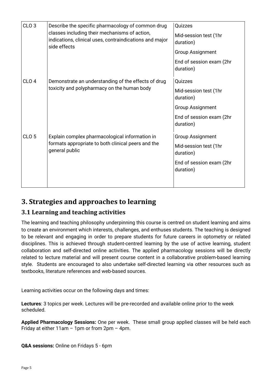| CLO <sub>3</sub> | Describe the specific pharmacology of common drug<br>classes including their mechanisms of action,<br>indications, clinical uses, contraindications and major<br>side effects | Quizzes<br>Mid-session test (1hr<br>duration)<br><b>Group Assignment</b><br>End of session exam (2hr<br>duration) |
|------------------|-------------------------------------------------------------------------------------------------------------------------------------------------------------------------------|-------------------------------------------------------------------------------------------------------------------|
| CLO <sub>4</sub> | Demonstrate an understanding of the effects of drug<br>toxicity and polypharmacy on the human body                                                                            | Quizzes<br>Mid-session test (1hr<br>duration)<br><b>Group Assignment</b><br>End of session exam (2hr<br>duration) |
| CLO <sub>5</sub> | Explain complex pharmacological information in<br>formats appropriate to both clinical peers and the<br>general public                                                        | <b>Group Assignment</b><br>Mid-session test (1hr<br>duration)<br>End of session exam (2hr<br>duration)            |

# <span id="page-4-0"></span>**3. Strategies and approaches to learning**

## <span id="page-4-1"></span>**3.1 Learning and teaching activities**

The learning and teaching philosophy underpinning this course is centred on student learning and aims to create an environment which interests, challenges, and enthuses students. The teaching is designed to be relevant and engaging in order to prepare students for future careers in optometry or related disciplines. This is achieved through student-centred learning by the use of active learning, student collaboration and self-directed online activities. The applied pharmacology sessions will be directly related to lecture material and will present course content in a collaborative problem-based learning style. Students are encouraged to also undertake self-directed learning via other resources such as textbooks, literature references and web-based sources.

Learning activities occur on the following days and times:

**Lectures**: 3 topics per week. Lectures will be pre-recorded and available online prior to the week scheduled.

**Applied Pharmacology Sessions:** One per week. These small group applied classes will be held each Friday at either 11am – 1pm or from 2pm – 4pm.

**Q&A sessions:** Online on Fridays 5 - 6pm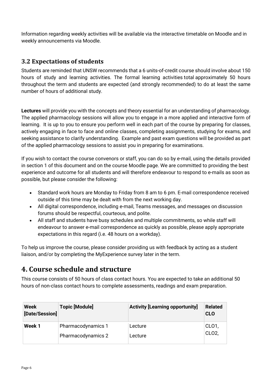Information regarding weekly activities will be available via the interactive timetable on Moodle and in weekly announcements via Moodle.

# <span id="page-5-0"></span>**3.2 Expectations of students**

Students are reminded that UNSW recommends that a 6 units-of-credit course should involve about 150 hours of study and learning activities. The formal learning activities total approximately 50 hours throughout the term and students are expected (and strongly recommended) to do at least the same number of hours of additional study.

**Lectures** will provide you with the concepts and theory essential for an understanding of pharmacology. The applied pharmacology sessions will allow you to engage in a more applied and interactive form of learning. It is up to you to ensure you perform well in each part of the course by preparing for classes, actively engaging in face to face and online classes, completing assignments, studying for exams, and seeking assistance to clarify understanding. Example and past exam questions will be provided as part of the applied pharmacology sessions to assist you in preparing for examinations.

If you wish to contact the course convenors or staff, you can do so by e-mail, using the details provided in section 1 of this document and on the course Moodle page. We are committed to providing the best experience and outcome for all students and will therefore endeavour to respond to e-mails as soon as possible, but please consider the following:

- Standard work hours are Monday to Friday from 8 am to 6 pm. E-mail correspondence received outside of this time may be dealt with from the next working day.
- All digital correspondence, including e-mail, Teams messages, and messages on discussion forums should be respectful, courteous, and polite.
- All staff and students have busy schedules and multiple commitments, so while staff will endeavour to answer e-mail correspondence as quickly as possible, please apply appropriate expectations in this regard (i.e. 48 hours on a workday).

To help us improve the course, please consider providing us with feedback by acting as a student liaison, and/or by completing the MyExperience survey later in the term.

# <span id="page-5-1"></span>**4. Course schedule and structure**

This course consists of 50 hours of class contact hours. You are expected to take an additional 50 hours of non-class contact hours to complete assessments, readings and exam preparation.

| Week<br>[Date/Session] | <b>Topic [Module]</b> | <b>Activity [Learning opportunity]</b> | <b>Related</b><br><b>CLO</b> |
|------------------------|-----------------------|----------------------------------------|------------------------------|
| Week 1                 | Pharmacodynamics 1    | Lecture                                | CL01,                        |
|                        | Pharmacodynamics 2    | Lecture                                | CLO <sub>2</sub>             |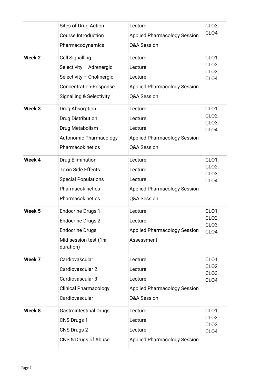|        | Sites of Drug Action<br><b>Course Introduction</b><br>Pharmacodynamics                                                                                  | Lecture<br><b>Applied Pharmacology Session</b><br>Q&A Session                       | CLO3,<br>CLO <sub>4</sub>                                |
|--------|---------------------------------------------------------------------------------------------------------------------------------------------------------|-------------------------------------------------------------------------------------|----------------------------------------------------------|
| Week 2 | <b>Cell Signalling</b><br>Selectivity - Adrenergic<br>Selectivity - Cholinergic<br><b>Concentration-Response</b><br><b>Signalling &amp; Selectivity</b> | Lecture<br>Lecture<br>Lecture<br><b>Applied Pharmacology Session</b><br>Q&A Session | CL01,<br>CLO2,<br>CLO3,<br>CLO <sub>4</sub>              |
| Week 3 | Drug Absorption<br><b>Drug Distribution</b><br>Drug Metabolism<br><b>Autonomic Pharmacology</b><br>Pharmacokinetics                                     | Lecture<br>Lecture<br>Lecture<br><b>Applied Pharmacology Session</b><br>Q&A Session | CL01,<br>CLO <sub>2</sub> ,<br>CLO3,<br>CLO <sub>4</sub> |
| Week 4 | <b>Drug Elimination</b><br><b>Toxic Side Effects</b><br><b>Special Populations</b><br>Pharmacokinetics<br>Pharmacokinetics                              | Lecture<br>Lecture<br>Lecture<br><b>Applied Pharmacology Session</b><br>Q&A Session | CL01,<br>CLO <sub>2</sub> ,<br>CLO3,<br>CLO <sub>4</sub> |
| Week 5 | <b>Endocrine Drugs 1</b><br><b>Endocrine Drugs 2</b><br><b>Endocrine Drugs</b><br>Mid-session test (1hr<br>duration)                                    | Lecture<br>Lecture<br><b>Applied Pharmacology Session</b><br>Assessment             | CL01,<br>CLO <sub>2</sub> ,<br>CL03,<br>CL <sub>O4</sub> |
| Week 7 | Cardiovascular 1<br>Cardiovascular 2<br>Cardiovascular 3<br><b>Clinical Pharmacology</b><br>Cardiovascular                                              | Lecture<br>Lecture<br>Lecture<br><b>Applied Pharmacology Session</b><br>Q&A Session | CL01,<br>CLO <sub>2</sub> ,<br>CLO3,<br>CLO4             |
| Week 8 | <b>Gastrointestinal Drugs</b><br>CNS Drugs 1<br>CNS Drugs 2<br>CNS & Drugs of Abuse                                                                     | Lecture<br>Lecture<br>Lecture<br><b>Applied Pharmacology Session</b>                | CL01,<br>CLO <sub>2</sub> ,<br>CLO3,<br>CLO4             |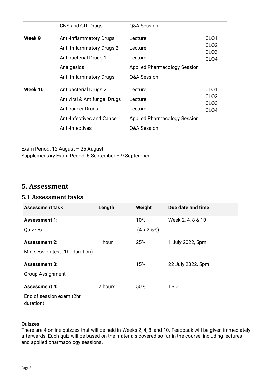|         | CNS and GIT Drugs                                                                                                                                    | Q&A Session                                                                         |                                                                   |
|---------|------------------------------------------------------------------------------------------------------------------------------------------------------|-------------------------------------------------------------------------------------|-------------------------------------------------------------------|
| Week 9  | <b>Anti-Inflammatory Drugs 1</b><br><b>Anti-Inflammatory Drugs 2</b><br><b>Antibacterial Drugs 1</b><br>Analgesics<br><b>Anti-Inflammatory Drugs</b> | Lecture<br>Lecture<br>Lecture<br><b>Applied Pharmacology Session</b><br>Q&A Session | CLO <sub>1</sub><br>CLO <sub>2</sub><br>CL03,<br>CL <sub>O4</sub> |
| Week 10 | <b>Antibacterial Drugs 2</b><br>Antiviral & Antifungal Drugs<br><b>Anticancer Drugs</b><br>Anti-Infectives and Cancer<br>Anti-Infectives             | Lecture<br>Lecture<br>Lecture<br><b>Applied Pharmacology Session</b><br>Q&A Session | CL01,<br>CLO <sub>2</sub><br>CL03,<br>CL <sub>O4</sub>            |

<span id="page-7-0"></span>Exam Period: 12 August – 25 August Supplementary Exam Period: 5 September – 9 September

# **5. Assessment**

#### <span id="page-7-1"></span>**5.1 Assessment tasks**

| <b>Assessment task</b>                | Length  | Weight             | Due date and time |
|---------------------------------------|---------|--------------------|-------------------|
| <b>Assessment 1:</b>                  |         | 10%                | Week 2, 4, 8 & 10 |
| Quizzes                               |         | $(4 \times 2.5\%)$ |                   |
| <b>Assessment 2:</b>                  | 1 hour  | 25%                | 1 July 2022, 5pm  |
| Mid-session test (1hr duration)       |         |                    |                   |
| <b>Assessment 3:</b>                  |         | 15%                | 22 July 2022, 5pm |
| <b>Group Assignment</b>               |         |                    |                   |
| <b>Assessment 4:</b>                  | 2 hours | 50%                | <b>TBD</b>        |
| End of session exam (2hr<br>duration) |         |                    |                   |

#### **Quizzes**

There are 4 online quizzes that will be held in Weeks 2, 4, 8, and 10. Feedback will be given immediately afterwards. Each quiz will be based on the materials covered so far in the course, including lectures and applied pharmacology sessions.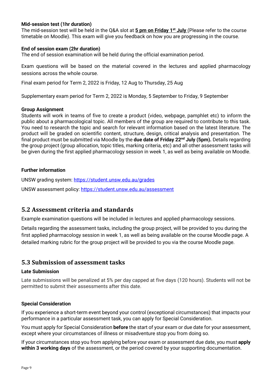#### **Mid-session test (1hr duration)**

The mid-session test will be held in the Q&A slot at **5 pm on Friday 1st July** (Please refer to the course timetable on Moodle). This exam will give you feedback on how you are progressing in the course.

#### **End of session exam (2hr duration)**

The end of session examination will be held during the official examination period.

Exam questions will be based on the material covered in the lectures and applied pharmacology sessions across the whole course.

Final exam period for Term 2, 2022 is Friday, 12 Aug to Thursday, 25 Aug

Supplementary exam period for Term 2, 2022 is Monday, 5 September to Friday, 9 September

#### **Group Assignment**

Students will work in teams of five to create a product (video, webpage, pamphlet etc) to inform the public about a pharmacological topic. All members of the group are required to contribute to this task. You need to research the topic and search for relevant information based on the latest literature. The product will be graded on scientific content, structure, design, critical analysis and presentation. The final product must be submitted via Moodle by the **due date of Friday 22nd July (5pm).** Details regarding the group project (group allocation, topic titles, marking criteria, etc) and all other assessment tasks will be given during the first applied pharmacology session in week 1, as well as being available on Moodle.

#### **Further information**

UNSW grading system:<https://student.unsw.edu.au/grades>

UNSW assessment policy:<https://student.unsw.edu.au/assessment>

#### <span id="page-8-0"></span>**5.2 Assessment criteria and standards**

Example examination questions will be included in lectures and applied pharmacology sessions.

Details regarding the assessment tasks, including the group project, will be provided to you during the first applied pharmacology session in week 1, as well as being available on the course Moodle page. A detailed marking rubric for the group project will be provided to you via the course Moodle page.

#### <span id="page-8-1"></span>**5.3 Submission of assessment tasks**

#### **Late Submission**

Late submissions will be penalized at 5% per day capped at five days (120 hours). Students will not be permitted to submit their assessments after this date.

#### **Special Consideration**

If you experience a short-term event beyond your control (exceptional circumstances) that impacts your performance in a particular assessment task, you can apply for Special Consideration.

You must apply for Special Consideration **before** the start of your exam or due date for your assessment, except where your circumstances of illness or misadventure stop you from doing so.

If your circumstances stop you from applying before your exam or assessment due date, you must **apply within 3 working days** of the assessment, or the period covered by your supporting documentation.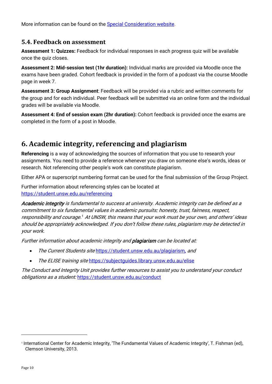More information can be found on the [Special Consideration website.](https://www.student.unsw.edu.au/special-consideration)

#### <span id="page-9-0"></span>**5.4. Feedback on assessment**

**Assessment 1: Quizzes:** Feedback for individual responses in each progress quiz will be available once the quiz closes.

**Assessment 2: Mid-session test (1hr duration):** Individual marks are provided via Moodle once the exams have been graded. Cohort feedback is provided in the form of a podcast via the course Moodle page in week 7.

**Assessment 3: Group Assignment**: Feedback will be provided via a rubric and written comments for the group and for each individual. Peer feedback will be submitted via an online form and the individual grades will be available via Moodle.

**Assessment 4: End of session exam (2hr duration):** Cohort feedback is provided once the exams are completed in the form of a post in Moodle.

# <span id="page-9-1"></span>**6. Academic integrity, referencing and plagiarism**

**Referencing** is a way of acknowledging the sources of information that you use to research your assignments. You need to provide a reference whenever you draw on someone else's words, ideas or research. Not referencing other people's work can constitute plagiarism.

Either APA or superscript numbering format can be used for the final submission of the Group Project.

Further information about referencing styles can be located at <https://student.unsw.edu.au/referencing>

Academic integrity is fundamental to success at university. Academic integrity can be defined as a commitment to six fundamental values in academic pursuits: honesty, trust, fairness, respect, responsibility and courage. $1$  At UNSW, this means that your work must be your own, and others' ideas should be appropriately acknowledged. If you don't follow these rules, plagiarism may be detected in your work.

Further information about academic integrity and **plagiarism** can be located at:

- The Current Students site <https://student.unsw.edu.au/plagiarism>, and
- <span id="page-9-2"></span>• The ELISE training site <https://subjectguides.library.unsw.edu.au/elise>

The Conduct and Integrity Unit provides further resources to assist you to understand your conduct obligations as a student: <https://student.unsw.edu.au/conduct>

<span id="page-9-3"></span><sup>1</sup> International Center for Academic Integrity, 'The Fundamental Values of Academic Integrity', T. Fishman (ed), Clemson University, 2013.